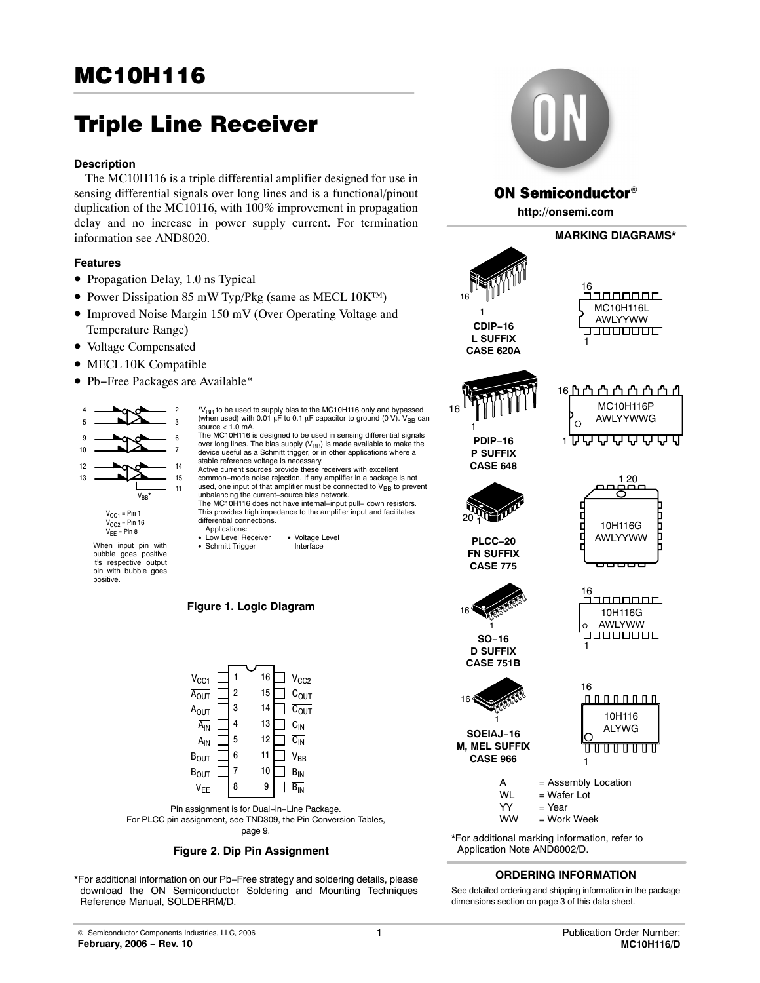# Triple Line Receiver

# **Description**

The MC10H116 is a triple differential amplifier designed for use in sensing differential signals over long lines and is a functional/pinout duplication of the MC10116, with 100% improvement in propagation delay and no increase in power supply current. For termination information see AND8020.

# **Features**

- Propagation Delay, 1.0 ns Typical
- Power Dissipation 85 mW Typ/Pkg (same as MECL 10K™)
- Improved Noise Margin 150 mV (Over Operating Voltage and Temperature Range)
- Voltage Compensated
- MECL 10K Compatible
- Pb−Free Packages are Available\*





- When input pin with bubble goes positive it's respective output pin with bubble goes positive.
- \*V<sub>BB</sub> to be used to supply bias to the MC10H116 only and bypassed<br>(when used) with 0.01 μF to 0.1 μF capacitor to ground (0 V). V<sub>BB</sub> can source  $<$  1.0 mA. The MC10H116 is designed to be used in sensing differential signals over long lines. The bias supply  $(V_{\text{BB}})$  is made available to make the device useful as a Schmitt trigger, or in other applications where a stable reference voltage is necessary. Active current sources provide these receivers with excellent common−mode noise rejection. If any amplifier in a package is not used, one input of that amplifier must be connected to  $\mathrm{V_{BB}}$  to prevent unbalancing the current−source bias network. The MC10H116 does not have internal−input pull− down resistors. This provides high impedance to the amplifier input and facilitates differential connections. Applications:
- Low Level Receiver Voltage Level<br>• Schmitt Trigger Interface • Schmitt Trigger
- **Figure 1. Logic Diagram**







\*For additional information on our Pb−Free strategy and soldering details, please download the ON Semiconductor Soldering and Mounting Techniques Reference Manual, SOLDERRM/D.



# **ON Semiconductor®**

**http://onsemi.com**



\*For additional marking information, refer to Application Note AND8002/D.

# **ORDERING INFORMATION**

See detailed ordering and shipping information in the package dimensions section on page 3 of this data sheet.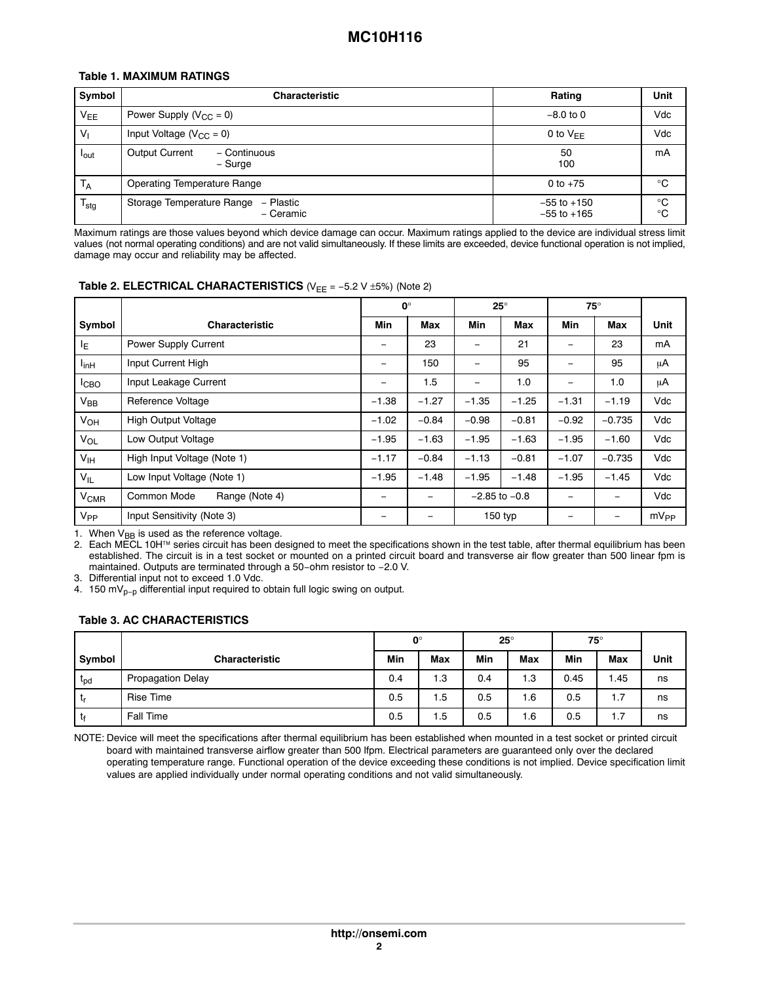# **Table 1. MAXIMUM RATINGS**

| Symbol                | <b>Characteristic</b>                               | Rating                             | Unit                       |
|-----------------------|-----------------------------------------------------|------------------------------------|----------------------------|
| <b>V<sub>EE</sub></b> | Power Supply $(V_{CC} = 0)$                         | $-8.0$ to 0                        | Vdc                        |
| V <sub>1</sub>        | Input Voltage ( $V_{CC} = 0$ )                      | 0 to $V_{FF}$                      | Vdc                        |
| lout                  | <b>Output Current</b><br>- Continuous<br>– Surge    | 50<br>100                          | mA                         |
| $T_A$                 | <b>Operating Temperature Range</b>                  | 0 to $+75$                         | °C                         |
| $T_{\text{stg}}$      | Storage Temperature Range<br>– Plastic<br>- Ceramic | $-55$ to $+150$<br>$-55$ to $+165$ | $^{\circ}C$<br>$^{\circ}C$ |

Maximum ratings are those values beyond which device damage can occur. Maximum ratings applied to the device are individual stress limit values (not normal operating conditions) and are not valid simultaneously. If these limits are exceeded, device functional operation is not implied, damage may occur and reliability may be affected.

# **Table 2. ELECTRICAL CHARACTERISTICS** (V<sub>EE</sub> = -5.2 V ±5%) (Note 2)

|                  |                               | $0^{\circ}$ |                          | $25^\circ$               |                   | $75^\circ$                   |                   |           |
|------------------|-------------------------------|-------------|--------------------------|--------------------------|-------------------|------------------------------|-------------------|-----------|
| Symbol           | <b>Characteristic</b>         | Min         | Max                      | Min                      | Max               | Min                          | Max               | Unit      |
| ΙE               | Power Supply Current          | -           | 23                       | $\qquad \qquad$          | 21                | -                            | 23                | mA        |
| $I_{\text{inH}}$ | Input Current High            | -           | 150                      | -                        | 95                | $\qquad \qquad \blacksquare$ | 95                | μA        |
| I <sub>CBO</sub> | Input Leakage Current         | -           | 1.5                      | $\overline{\phantom{0}}$ | 1.0               | $\overline{\phantom{0}}$     | 1.0               | μA        |
| $V_{BB}$         | <b>Reference Voltage</b>      | $-1.38$     | $-1.27$                  | $-1.35$                  | $-1.25$           | $-1.31$                      | $-1.19$           | Vdc       |
| V <sub>OH</sub>  | <b>High Output Voltage</b>    | $-1.02$     | $-0.84$                  | $-0.98$                  | $-0.81$           | $-0.92$                      | $-0.735$          | Vdc       |
| $V_{OL}$         | Low Output Voltage            | $-1.95$     | $-1.63$                  | $-1.95$                  | $-1.63$           | $-1.95$                      | $-1.60$           | Vdc       |
| V <sub>IH</sub>  | High Input Voltage (Note 1)   | $-1.17$     | $-0.84$                  | $-1.13$                  | $-0.81$           | $-1.07$                      | $-0.735$          | Vdc       |
| $V_{IL}$         | Low Input Voltage (Note 1)    | $-1.95$     | $-1.48$                  | $-1.95$                  | $-1.48$           | $-1.95$                      | $-1.45$           | Vdc       |
| $V_{CMR}$        | Common Mode<br>Range (Note 4) | -           | $\overline{\phantom{m}}$ |                          | $-2.85$ to $-0.8$ | -                            | $\qquad \qquad -$ | Vdc       |
| V <sub>PP</sub>  | Input Sensitivity (Note 3)    |             |                          | $150$ typ                |                   | -                            |                   | $mV_{PP}$ |

1. When  $V_{BB}$  is used as the reference voltage.

2. Each MECL 10H™ series circuit has been designed to meet the specifications shown in the test table, after thermal equilibrium has been established. The circuit is in a test socket or mounted on a printed circuit board and transverse air flow greater than 500 linear fpm is maintained. Outputs are terminated through a 50−ohm resistor to −2.0 V.

3. Differential input not to exceed 1.0 Vdc.

4. 150 mV<sub>p−p</sub> differential input required to obtain full logic swing on output.

### **Table 3. AC CHARACTERISTICS**

|                 |                          | $\mathbf{0}^{\circ}$ |            | $25^\circ$ |            | $75^\circ$ |       |      |
|-----------------|--------------------------|----------------------|------------|------------|------------|------------|-------|------|
| Symbol          | <b>Characteristic</b>    | Min                  | <b>Max</b> | Min        | <b>Max</b> | Min        | Max   | Unit |
| t <sub>pd</sub> | <b>Propagation Delay</b> | 0.4                  | 1.3        | 0.4        | 1.3        | 0.45       | 45. ا | ns   |
| ւր              | <b>Rise Time</b>         | 0.5                  | 1.5        | 0.5        | 1.6        | 0.5        | 1.7   | ns   |
| τŧ              | Fall Time                | 0.5                  | 1.5        | 0.5        | 1.6        | 0.5        | 1.7   | ns   |

NOTE: Device will meet the specifications after thermal equilibrium has been established when mounted in a test socket or printed circuit board with maintained transverse airflow greater than 500 lfpm. Electrical parameters are guaranteed only over the declared operating temperature range. Functional operation of the device exceeding these conditions is not implied. Device specification limit values are applied individually under normal operating conditions and not valid simultaneously.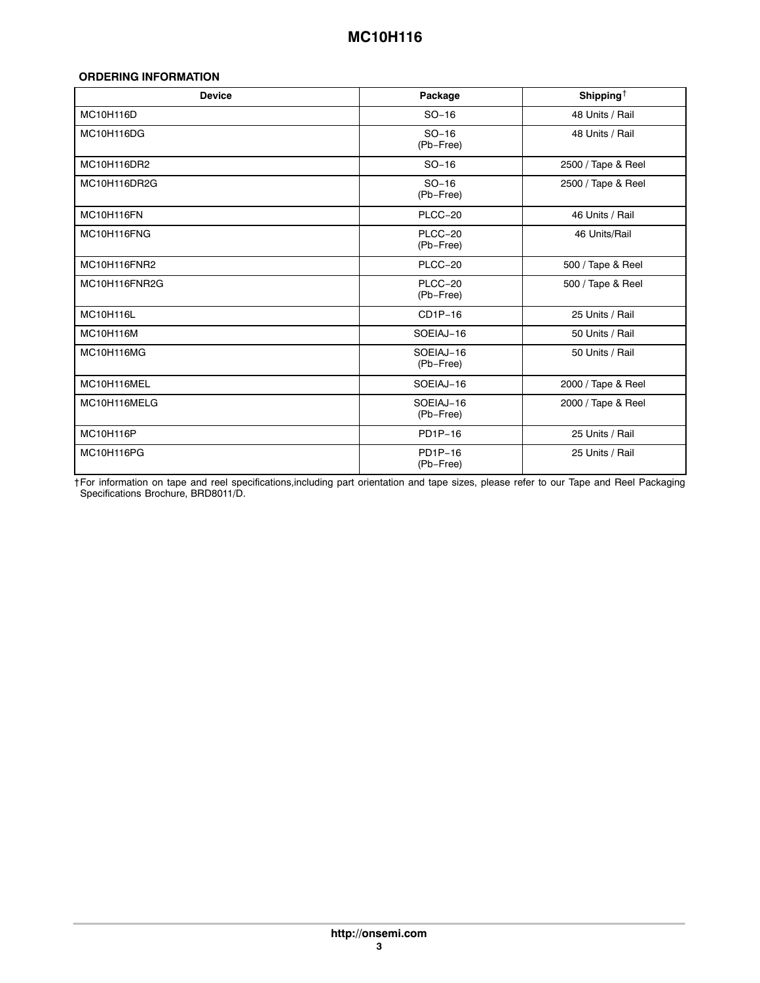# **ORDERING INFORMATION**

| <b>Device</b>    | Package                | Shipping <sup><math>\dagger</math></sup> |
|------------------|------------------------|------------------------------------------|
| MC10H116D        | $SO-16$                | 48 Units / Rail                          |
| MC10H116DG       | $SO-16$<br>(Pb-Free)   | 48 Units / Rail                          |
| MC10H116DR2      | $SO-16$                | 2500 / Tape & Reel                       |
| MC10H116DR2G     | $SO-16$<br>(Pb-Free)   | 2500 / Tape & Reel                       |
| MC10H116FN       | PLCC-20                | 46 Units / Rail                          |
| MC10H116FNG      | PLCC-20<br>(Pb-Free)   | 46 Units/Rail                            |
| MC10H116FNR2     | PLCC-20                | 500 / Tape & Reel                        |
| MC10H116FNR2G    | PLCC-20<br>(Pb-Free)   | 500 / Tape & Reel                        |
| MC10H116L        | $CD1P-16$              | 25 Units / Rail                          |
| <b>MC10H116M</b> | SOEIAJ-16              | 50 Units / Rail                          |
| MC10H116MG       | SOEIAJ-16<br>(Pb-Free) | 50 Units / Rail                          |
| MC10H116MEL      | SOEIAJ-16              | 2000 / Tape & Reel                       |
| MC10H116MELG     | SOEIAJ-16<br>(Pb-Free) | 2000 / Tape & Reel                       |
| MC10H116P        | PD1P-16                | 25 Units / Rail                          |
| MC10H116PG       | PD1P-16<br>(Pb-Free)   | 25 Units / Rail                          |

†For information on tape and reel specifications,including part orientation and tape sizes, please refer to our Tape and Reel Packaging Specifications Brochure, BRD8011/D.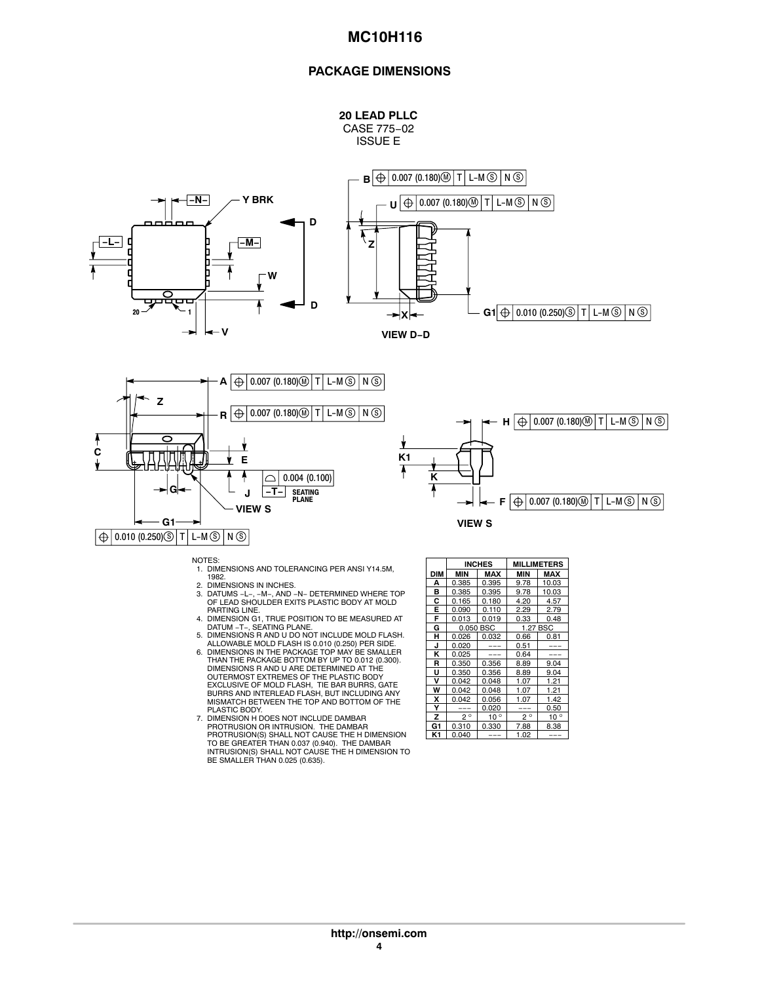# **MC10H116**

## **PACKAGE DIMENSIONS**



CASE 775−02 ISSUE E







- NOTES: 1. DIMENSIONS AND TOLERANCING PER ANSI Y14.5M, 1982.
- 
- 2. DIMENSIONS IN INCHES.<br>3. DATUMS −L−, −M−, AND −N− DETERMINED WHERE TOP<br>OF LEAD SHOULDER EXITS PLASTIC BODY AT MOLD<br>PARTING LINE.
- 
- 4. DIMENSION G1, TRUE POSITION TO BE MEASURED AT<br>DATUM -T-, SEATING PLANE.<br>5. DIMENSIONS R AND U DO NOT INCLUDE MOLD FLASH.<br>6. DIMENSIONS IN THE PACKAGE TOP MAY BE SMALLER.<br>6. DIMENSIONS IN THE PACKAGE BOTTOM BY UP TO 0.01
- DIMENSIONS R AND U ARE DETERMINED AT THE OUTERMOST EXTREMES OF THE PLASTIC BODY EXCLUSIVE OF MOLD FLASH, TIE BAR BURRS, GATE BURRS AND INTERLEAD FLASH, BUT INCLUDING ANY MISMATCH BETWEEN THE TOP AND BOTTOM OF THE PLASTIC BODY. 7. DIMENSION H DOES NOT INCLUDE DAMBAR
- PROTRUSION OR INTRUSION. THE DAMBAR<br>PROTRUSION(S) SHALL NOT CAUSE THE H DIMENSION<br>TO BE GREATER THAN 0.037 (0.940). THE DAMBAR<br>INTRUSION(S) SHALL NOT CAUSE THE H DIMENSION TO<br>BE SMALLER THAN 0.025 (0.635).

|     |             | <b>INCHES</b> |             | <b>MILLIMETERS</b> |
|-----|-------------|---------------|-------------|--------------------|
| DIM | MIN         | <b>MAX</b>    | MIN         | MAX                |
| А   | 0.385       | 0.395         | 9.78        | 10.03              |
| B   | 0.385       | 0.395         | 9.78        | 10.03              |
| c   | 0.165       | 0.180         | 4.20        | 4.57               |
| Е   | 0.090       | 0.110         | 2.29        | 2.79               |
| F   | 0.013       | 0.019         | 0.33        | 0.48               |
| G   |             | 0.050 BSC     | 1.27 BSC    |                    |
| н   | 0.026       | 0.032         | 0.66        | 0.81               |
| J   | 0.020       |               | 0.51        |                    |
| ĸ   | 0.025       |               | 0.64        |                    |
| R   | 0.350       | 0.356         | 8.89        | 9.04               |
| U   | 0.350       | 0.356         | 8.89        | 9.04               |
| v   | 0.042       | 0.048         | 1.07        | 1.21               |
| W   | 0.042       | 0.048         | 1.07        | 1.21               |
| x   | 0.042       | 0.056         | 1.07        | 1.42               |
| Υ   |             | 0.020         |             | 0.50               |
| z   | $2^{\circ}$ | $10^{\circ}$  | $2^{\circ}$ | $\circ$<br>10      |
| G1  | 0.310       | 0.330         | 7.88        | 8.38               |
| K1  | 0.040       |               | 1.02        |                    |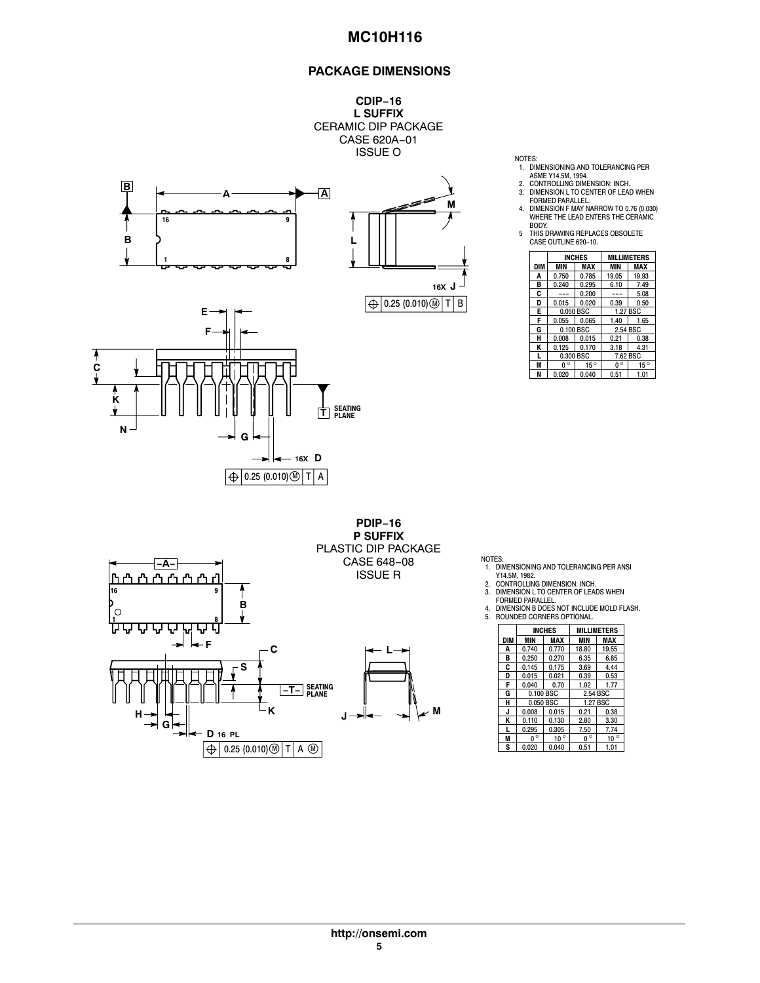# **MC10H116**

# **PACKAGE DIMENSIONS**



**PDIP−16**



- 
- 
- 1. DIMENSIONING AND TOLERANCING PER<br>ASME Y14.5M, 1994.<br>2. CONTROLLING DIMENSION: INCH.<br>3. DIMENSION L TO CENTER OF LEAD WHEN<br>FORMED PARALLEL.<br>4. DIMENSION F MAY NARROW TO 0.76 (0.030)<br>WHERE THE LEAD ENTERS THE CERAMIC<br>WHER
- BODY. 5 THIS DRAWING REPLACES OBSOLETE CASE OUTLINE 620−10.

|            |                          | <b>INCHES</b> | <b>MILLIMETERS</b> |              |  |
|------------|--------------------------|---------------|--------------------|--------------|--|
| <b>DIM</b> | <b>MAX</b><br><b>MIN</b> |               | MIN                | MAX          |  |
| A          | 0.750                    | 0.785         | 19.05              | 19.93        |  |
| в          | 0.240                    | 0.295         | 6.10               | 7.49         |  |
| C          |                          | 0.200         |                    | 5.08         |  |
| D          | 0.015                    | 0.020         | 0.39               | 0.50         |  |
| Е          | 0.050 BSC                |               | 1.27 BSC           |              |  |
| F          | 0.055                    | 0.065         | 1.40               | 1.65         |  |
| G          |                          | 0.100 BSC     | 2.54 BSC           |              |  |
| н          | 0.008                    | 0.015         | 0.21               | 0.38         |  |
| Κ          | 0.125                    | 0.170         | 3.18               | 4.31         |  |
|            | 0.300 BSC                |               |                    | 7.62 BSC     |  |
| M          | $\circ$                  | $15^{\circ}$  | $0^{\circ}$        | $15^{\circ}$ |  |
| N          | 0.020                    | 0.040         | 0.51               | 1.01         |  |

**P SUFFIX** PLASTIC DIP PACKAGE CASE 648−08 **−A−** ISSUE R<u>ר'ו ר'ו ר'ו ר'ו</u> ከጣ гJ 16 9 Þ **B** 1 8 Ų Ų ᄓ  $\leftarrow$  **F**  $\qquad \qquad \begin{array}{c} \n\text{-c} \n\end{array}$ **L S** SEATING PLANE **−T− K M H J G D 16 PL**  $\boxed{\bigoplus}$  0.25 (0.010)  $\boxed{\oplus}$  T A  $\boxed{\oplus}$ 

NOTES:

- 1. DIMENSIONING AND TOLERANCING PER ANSI
	-
	-
- Y14.5M, 1982.<br>2. CONTROLLING DIMENSION: INCH.<br>3. DIMENSION L TO CENTER OF LEADS WHEN<br>FORMED PARALLEL.<br>4. DIMENSION B DOES NOT INCLUDE MOLD FLASH.<br>5. ROUNDED CORNERS OPTIONAL.
- $\Gamma$  $\top$ INCHES MILLIMETERS

|     |                        |              | ------------ |              |  |
|-----|------------------------|--------------|--------------|--------------|--|
| DIM | <b>MIN</b>             | MAX          | MIN          | MAX          |  |
| A   | 0.740                  | 0.770        | 18.80        | 19.55        |  |
| в   | 0.250                  | 0.270        | 6.35         | 6.85         |  |
| C   | 0.145                  | 0.175        | 3.69         | 4.44         |  |
| D   | 0.015                  | 0.021        | 0.39         | 0.53         |  |
| F   | 0.040                  | 0.70         | 1.02         | 1.77         |  |
| G   |                        | 0.100 BSC    |              | 2.54 BSC     |  |
| н   |                        | 0.050 BSC    | 1.27 BSC     |              |  |
| J   | 0.008                  | 0.015        | 0.21         | 0.38         |  |
| K   | 0.110                  | 0.130        | 2.80         | 3.30         |  |
| L   | 0.295                  | 0.305        | 7.50         | 7.74         |  |
| M   | $0^{\overline{\circ}}$ | $10^{\circ}$ | $0^{\circ}$  | $10^{\circ}$ |  |
| S   | 0.020                  | 0.040        | 0.51         | 1.01         |  |